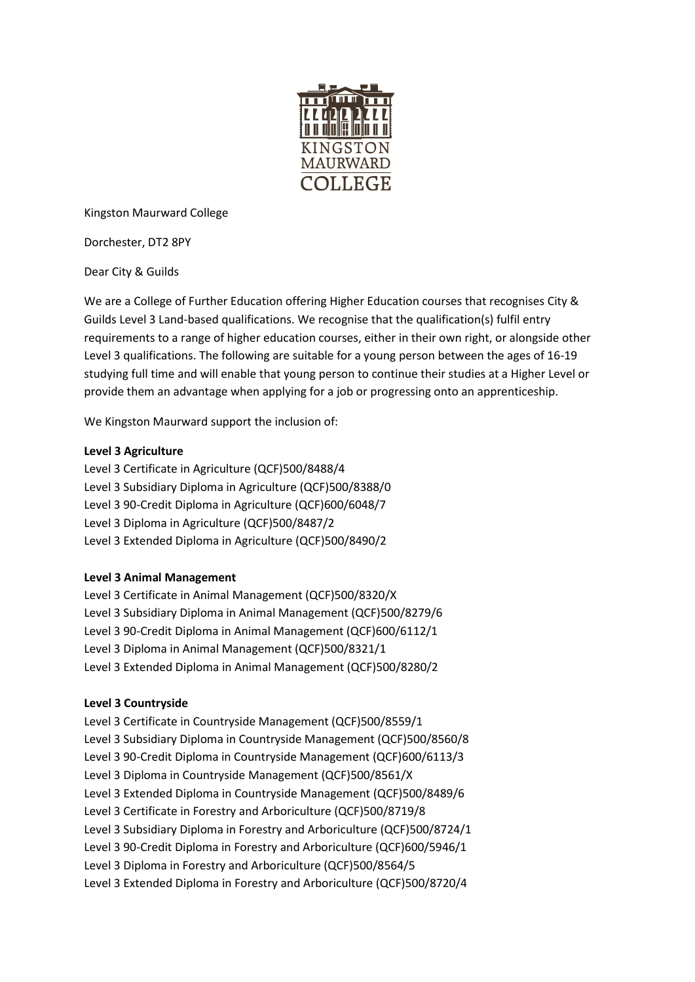

Kingston Maurward College

Dorchester, DT2 8PY

Dear City & Guilds

We are a College of Further Education offering Higher Education courses that recognises City & Guilds Level 3 Land-based qualifications. We recognise that the qualification(s) fulfil entry requirements to a range of higher education courses, either in their own right, or alongside other Level 3 qualifications. The following are suitable for a young person between the ages of 16-19 studying full time and will enable that young person to continue their studies at a Higher Level or provide them an advantage when applying for a job or progressing onto an apprenticeship.

We Kingston Maurward support the inclusion of:

## **Level 3 Agriculture**

Level 3 Certificate in Agriculture (QCF[\)500/8488/4](http://register.ofqual.gov.uk/Qualification/Details/500_8488_4) Level 3 Subsidiary Diploma in Agriculture (QCF[\)500/8388/0](http://register.ofqual.gov.uk/Qualification/Details/500_8388_0) Level 3 90-Credit Diploma in Agriculture (QCF[\)600/6048/7](http://register.ofqual.gov.uk/Qualification/Details/600_6048_7) Level 3 Diploma in Agriculture (QCF[\)500/8487/2](http://register.ofqual.gov.uk/Qualification/Details/500_8487_2) Level 3 Extended Diploma in Agriculture (QCF[\)500/8490/2](http://register.ofqual.gov.uk/Qualification/Details/500_8490_2)

## **Level 3 Animal Management**

Level 3 Certificate in Animal Management (QCF[\)500/8320/X](http://register.ofqual.gov.uk/Qualification/Details/500_8320_X) Level 3 Subsidiary Diploma in Animal Management (QCF[\)500/8279/6](http://register.ofqual.gov.uk/Qualification/Details/500_8279_6) Level 3 90-Credit Diploma in Animal Management (QCF[\)600/6112/1](http://register.ofqual.gov.uk/Qualification/Details/600_6112_1) Level 3 Diploma in Animal Management (QCF[\)500/8321/1](http://register.ofqual.gov.uk/Qualification/Details/500_8321_1) Level 3 Extended Diploma in Animal Management (QCF[\)500/8280/2](http://register.ofqual.gov.uk/Qualification/Details/500_8280_2)

## **Level 3 Countryside**

Level 3 Certificate in Countryside Management (QCF[\)500/8559/1](http://register.ofqual.gov.uk/Qualification/Details/500_8559_1) Level 3 Subsidiary Diploma in Countryside Management (QCF[\)500/8560/8](http://register.ofqual.gov.uk/Qualification/Details/500_8560_8) Level 3 90-Credit Diploma in Countryside Management (QCF[\)600/6113/3](http://register.ofqual.gov.uk/Qualification/Details/600_6113_3) Level 3 Diploma in Countryside Management (QCF[\)500/8561/X](http://register.ofqual.gov.uk/Qualification/Details/500_8561_X) Level 3 Extended Diploma in Countryside Management (QCF[\)500/8489/6](http://register.ofqual.gov.uk/Qualification/Details/500_8489_6) Level 3 Certificate in Forestry and Arboriculture (QCF)500/8719/8 Level 3 Subsidiary Diploma in Forestry and Arboriculture (QCF)500/8724/1 Level 3 90-Credit Diploma in Forestry and Arboriculture (QCF)600/5946/1 Level 3 Diploma in Forestry and Arboriculture (QCF)500/8564/5 Level 3 Extended Diploma in Forestry and Arboriculture (QCF)500/8720/4